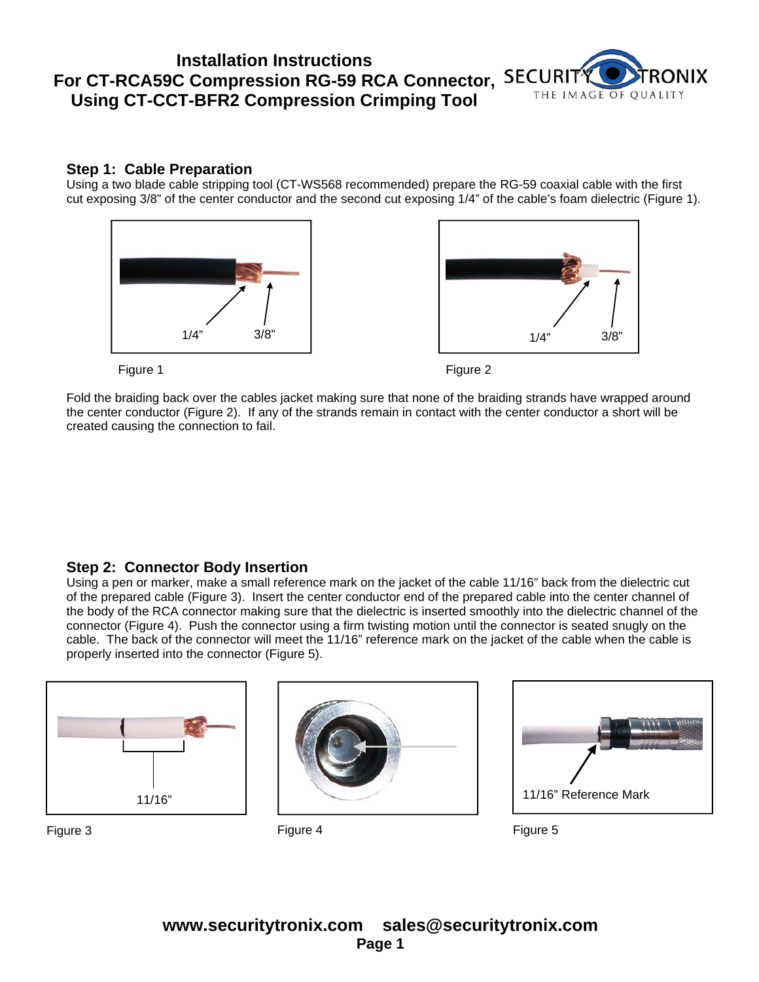# **Installation Instructions For CT-RCA59C Compression RG-59 RCA Connector, Using CT-CCT-BFR2 Compression Crimping Tool**



#### **Step 1: Cable Preparation**

Using a two blade cable stripping tool (CT-WS568 recommended) prepare the RG-59 coaxial cable with the first cut exposing 3/8" of the center conductor and the second cut exposing 1/4" of the cable's foam dielectric (Figure 1).







Fold the braiding back over the cables jacket making sure that none of the braiding strands have wrapped around the center conductor (Figure 2). If any of the strands remain in contact with the center conductor a short will be created causing the connection to fail.

### **Step 2: Connector Body Insertion**

Using a pen or marker, make a small reference mark on the jacket of the cable 11/16" back from the dielectric cut of the prepared cable (Figure 3). Insert the center conductor end of the prepared cable into the center channel of the body of the RCA connector making sure that the dielectric is inserted smoothly into the dielectric channel of the connector (Figure 4). Push the connector using a firm twisting motion until the connector is seated snugly on the cable. The back of the connector will meet the 11/16" reference mark on the jacket of the cable when the cable is properly inserted into the connector (Figure 5).







Figure 3 Figure 4 Figure 5